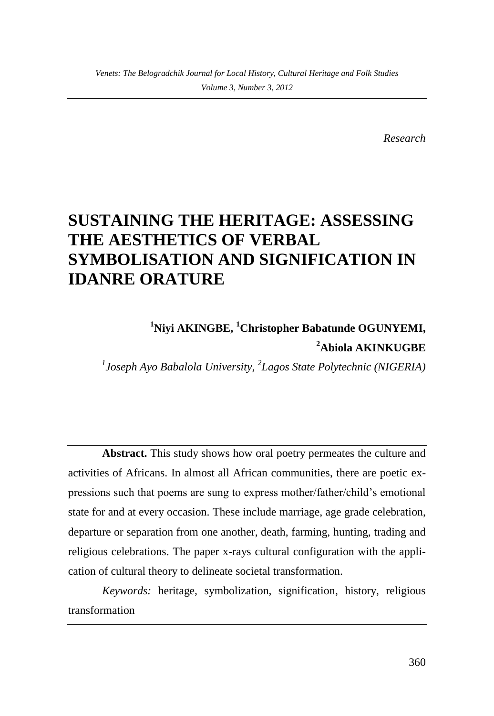*Research*

# **SUSTAINING THE HERITAGE: ASSESSING THE AESTHETICS OF VERBAL SYMBOLISATION AND SIGNIFICATION IN IDANRE ORATURE**

**<sup>1</sup>Niyi AKINGBE, <sup>1</sup>Christopher Babatunde OGUNYEMI, <sup>2</sup>Abiola AKINKUGBE**

*1 Joseph Ayo Babalola University, <sup>2</sup> Lagos State Polytechnic (NIGERIA)*

**Abstract.** This study shows how oral poetry permeates the culture and activities of Africans. In almost all African communities, there are poetic expressions such that poems are sung to express mother/father/child's emotional state for and at every occasion. These include marriage, age grade celebration, departure or separation from one another, death, farming, hunting, trading and religious celebrations. The paper x-rays cultural configuration with the application of cultural theory to delineate societal transformation.

*Keywords:* heritage, symbolization, signification, history, religious transformation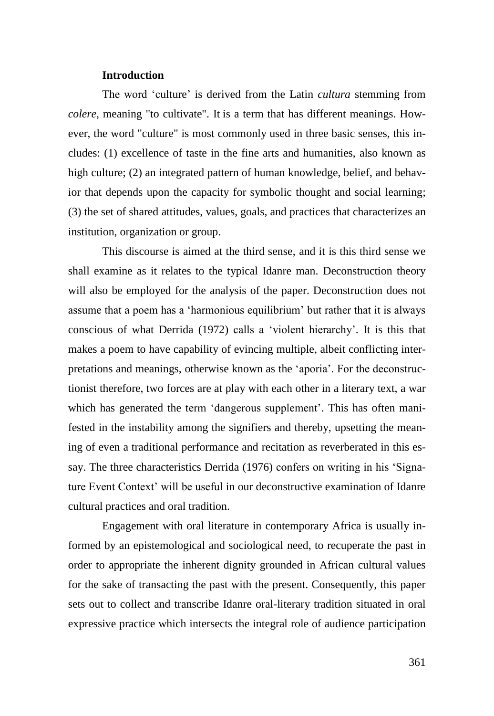## **Introduction**

The word 'culture' is derived from the Latin *cultura* stemming from *colere*, meaning "to cultivate". It is a term that has different meanings. However, the word "culture" is most commonly used in three basic senses, this includes: (1) excellence of taste in the fine arts and humanities, also known as high culture; (2) an integrated pattern of human knowledge, belief, and behavior that depends upon the capacity for symbolic thought and social learning; (3) the set of shared attitudes, values, goals, and practices that characterizes an institution, organization or group.

This discourse is aimed at the third sense, and it is this third sense we shall examine as it relates to the typical Idanre man. Deconstruction theory will also be employed for the analysis of the paper. Deconstruction does not assume that a poem has a 'harmonious equilibrium' but rather that it is always conscious of what Derrida (1972) calls a 'violent hierarchy'. It is this that makes a poem to have capability of evincing multiple, albeit conflicting interpretations and meanings, otherwise known as the 'aporia'. For the deconstructionist therefore, two forces are at play with each other in a literary text, a war which has generated the term 'dangerous supplement'. This has often manifested in the instability among the signifiers and thereby, upsetting the meaning of even a traditional performance and recitation as reverberated in this essay. The three characteristics Derrida (1976) confers on writing in his 'Signature Event Context' will be useful in our deconstructive examination of Idanre cultural practices and oral tradition.

Engagement with oral literature in contemporary Africa is usually informed by an epistemological and sociological need, to recuperate the past in order to appropriate the inherent dignity grounded in African cultural values for the sake of transacting the past with the present. Consequently, this paper sets out to collect and transcribe Idanre oral-literary tradition situated in oral expressive practice which intersects the integral role of audience participation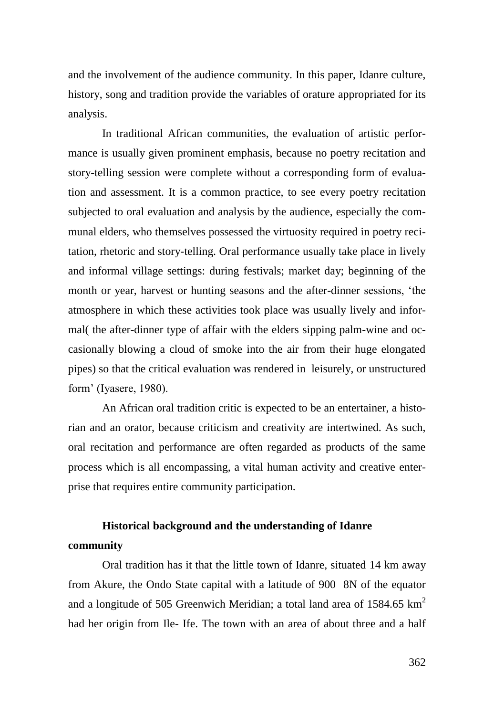and the involvement of the audience community. In this paper, Idanre culture, history, song and tradition provide the variables of orature appropriated for its analysis.

In traditional African communities, the evaluation of artistic performance is usually given prominent emphasis, because no poetry recitation and story-telling session were complete without a corresponding form of evaluation and assessment. It is a common practice, to see every poetry recitation subjected to oral evaluation and analysis by the audience, especially the communal elders, who themselves possessed the virtuosity required in poetry recitation, rhetoric and story-telling. Oral performance usually take place in lively and informal village settings: during festivals; market day; beginning of the month or year, harvest or hunting seasons and the after-dinner sessions, 'the atmosphere in which these activities took place was usually lively and informal( the after-dinner type of affair with the elders sipping palm-wine and occasionally blowing a cloud of smoke into the air from their huge elongated pipes) so that the critical evaluation was rendered in leisurely, or unstructured form' (Iyasere, 1980).

An African oral tradition critic is expected to be an entertainer, a historian and an orator, because criticism and creativity are intertwined. As such, oral recitation and performance are often regarded as products of the same process which is all encompassing, a vital human activity and creative enterprise that requires entire community participation.

## **Historical background and the understanding of Idanre community**

Oral tradition has it that the little town of Idanre, situated 14 km away from Akure, the Ondo State capital with a latitude of 900 8N of the equator and a longitude of 505 Greenwich Meridian; a total land area of  $1584.65 \text{ km}^2$ had her origin from Ile- Ife. The town with an area of about three and a half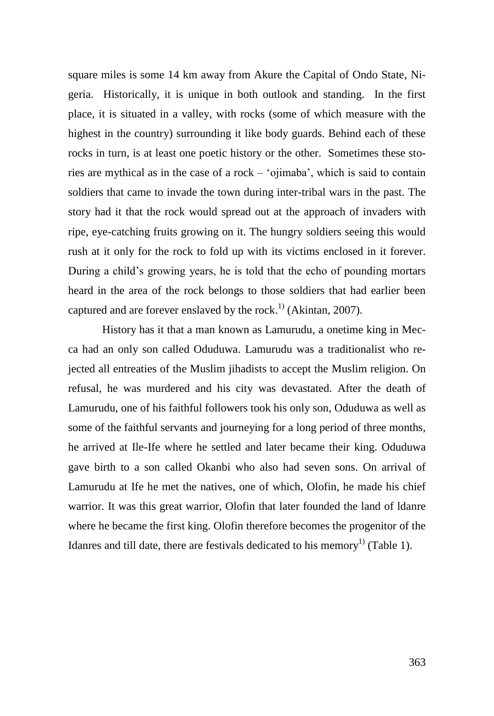square miles is some 14 km away from Akure the Capital of Ondo State, Nigeria. Historically, it is unique in both outlook and standing. In the first place, it is situated in a valley, with rocks (some of which measure with the highest in the country) surrounding it like body guards. Behind each of these rocks in turn, is at least one poetic history or the other. Sometimes these stories are mythical as in the case of a rock – 'ojimaba', which is said to contain soldiers that came to invade the town during inter-tribal wars in the past. The story had it that the rock would spread out at the approach of invaders with ripe, eye-catching fruits growing on it. The hungry soldiers seeing this would rush at it only for the rock to fold up with its victims enclosed in it forever. During a child's growing years, he is told that the echo of pounding mortars heard in the area of the rock belongs to those soldiers that had earlier been captured and are forever enslaved by the rock.<sup>1)</sup> (Akintan, 2007).

History has it that a man known as Lamurudu, a onetime king in Mecca had an only son called Oduduwa. Lamurudu was a traditionalist who rejected all entreaties of the Muslim jihadists to accept the Muslim religion. On refusal, he was murdered and his city was devastated. After the death of Lamurudu, one of his faithful followers took his only son, Oduduwa as well as some of the faithful servants and journeying for a long period of three months, he arrived at Ile-Ife where he settled and later became their king. Oduduwa gave birth to a son called Okanbi who also had seven sons. On arrival of Lamurudu at Ife he met the natives, one of which, Olofin, he made his chief warrior. It was this great warrior, Olofin that later founded the land of ldanre where he became the first king. Olofin therefore becomes the progenitor of the Idanres and till date, there are festivals dedicated to his memory<sup>1)</sup> (Table 1).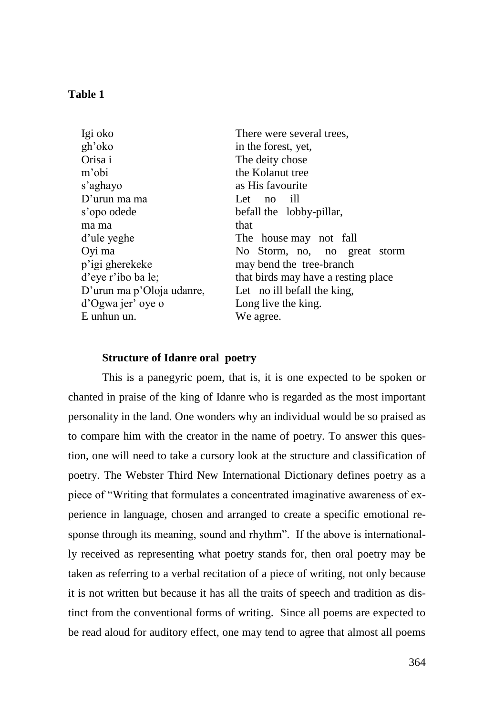## **Table 1**

| Igi oko                   | There were several trees,           |
|---------------------------|-------------------------------------|
| gh'oko                    | in the forest, yet,                 |
| Orisa i                   | The deity chose                     |
| m'obi                     | the Kolanut tree                    |
| s'aghayo                  | as His favourite                    |
| $D'$ urun ma ma           | Let no ill                          |
| s'opo odede               | befall the lobby-pillar,            |
| ma ma                     | that                                |
| d'ule yeghe               | The house may not fall              |
| Oyi ma                    | No Storm, no, no great storm        |
| p'igi gherekeke           | may bend the tree-branch            |
| d'eye r'ibo ba le;        | that birds may have a resting place |
| D'urun ma p'Oloja udanre, | Let no ill befall the king,         |
| d'Ogwa jer' oye o         | Long live the king.                 |
| E unhun un.               | We agree.                           |

#### **Structure of Idanre oral poetry**

This is a panegyric poem, that is, it is one expected to be spoken or chanted in praise of the king of Idanre who is regarded as the most important personality in the land. One wonders why an individual would be so praised as to compare him with the creator in the name of poetry. To answer this question, one will need to take a cursory look at the structure and classification of poetry. The Webster Third New International Dictionary defines poetry as a piece of "Writing that formulates a concentrated imaginative awareness of experience in language, chosen and arranged to create a specific emotional response through its meaning, sound and rhythm". If the above is internationally received as representing what poetry stands for, then oral poetry may be taken as referring to a verbal recitation of a piece of writing, not only because it is not written but because it has all the traits of speech and tradition as distinct from the conventional forms of writing. Since all poems are expected to be read aloud for auditory effect, one may tend to agree that almost all poems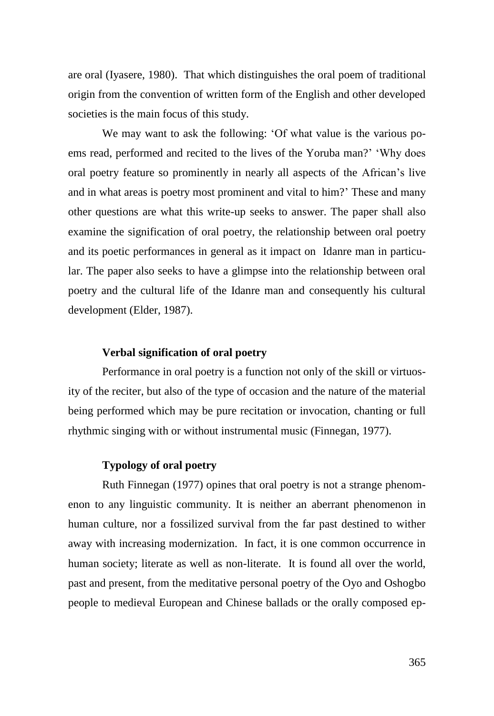are oral (Iyasere, 1980). That which distinguishes the oral poem of traditional origin from the convention of written form of the English and other developed societies is the main focus of this study.

We may want to ask the following: 'Of what value is the various poems read, performed and recited to the lives of the Yoruba man?' 'Why does oral poetry feature so prominently in nearly all aspects of the African's live and in what areas is poetry most prominent and vital to him?' These and many other questions are what this write-up seeks to answer. The paper shall also examine the signification of oral poetry, the relationship between oral poetry and its poetic performances in general as it impact on Idanre man in particular. The paper also seeks to have a glimpse into the relationship between oral poetry and the cultural life of the Idanre man and consequently his cultural development (Elder, 1987).

## **Verbal signification of oral poetry**

Performance in oral poetry is a function not only of the skill or virtuosity of the reciter, but also of the type of occasion and the nature of the material being performed which may be pure recitation or invocation, chanting or full rhythmic singing with or without instrumental music (Finnegan, 1977).

## **Typology of oral poetry**

Ruth Finnegan (1977) opines that oral poetry is not a strange phenomenon to any linguistic community. It is neither an aberrant phenomenon in human culture, nor a fossilized survival from the far past destined to wither away with increasing modernization. In fact, it is one common occurrence in human society; literate as well as non-literate. It is found all over the world, past and present, from the meditative personal poetry of the Oyo and Oshogbo people to medieval European and Chinese ballads or the orally composed ep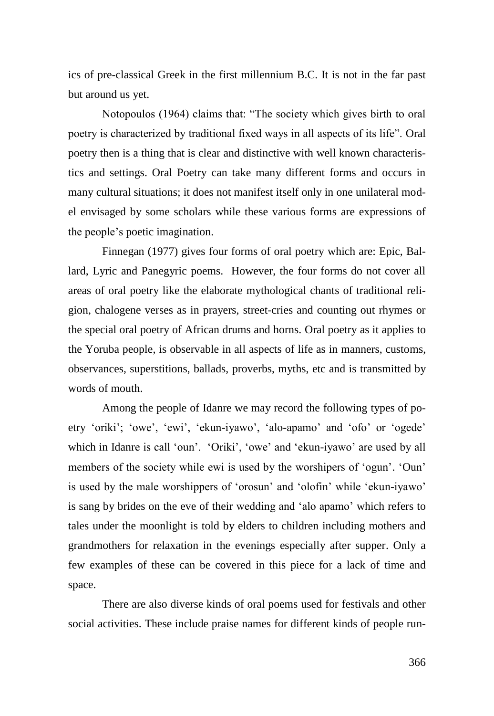ics of pre-classical Greek in the first millennium B.C. It is not in the far past but around us yet.

Notopoulos (1964) claims that: "The society which gives birth to oral poetry is characterized by traditional fixed ways in all aspects of its life". Oral poetry then is a thing that is clear and distinctive with well known characteristics and settings. Oral Poetry can take many different forms and occurs in many cultural situations; it does not manifest itself only in one unilateral model envisaged by some scholars while these various forms are expressions of the people's poetic imagination.

Finnegan (1977) gives four forms of oral poetry which are: Epic, Ballard, Lyric and Panegyric poems. However, the four forms do not cover all areas of oral poetry like the elaborate mythological chants of traditional religion, chalogene verses as in prayers, street-cries and counting out rhymes or the special oral poetry of African drums and horns. Oral poetry as it applies to the Yoruba people, is observable in all aspects of life as in manners, customs, observances, superstitions, ballads, proverbs, myths, etc and is transmitted by words of mouth.

Among the people of Idanre we may record the following types of poetry 'oriki'; 'owe', 'ewi', 'ekun-iyawo', 'alo-apamo' and 'ofo' or 'ogede' which in Idanre is call 'oun'. 'Oriki', 'owe' and 'ekun-iyawo' are used by all members of the society while ewi is used by the worshipers of 'ogun'. 'Oun' is used by the male worshippers of 'orosun' and 'olofin' while 'ekun-iyawo' is sang by brides on the eve of their wedding and 'alo apamo' which refers to tales under the moonlight is told by elders to children including mothers and grandmothers for relaxation in the evenings especially after supper. Only a few examples of these can be covered in this piece for a lack of time and space.

There are also diverse kinds of oral poems used for festivals and other social activities. These include praise names for different kinds of people run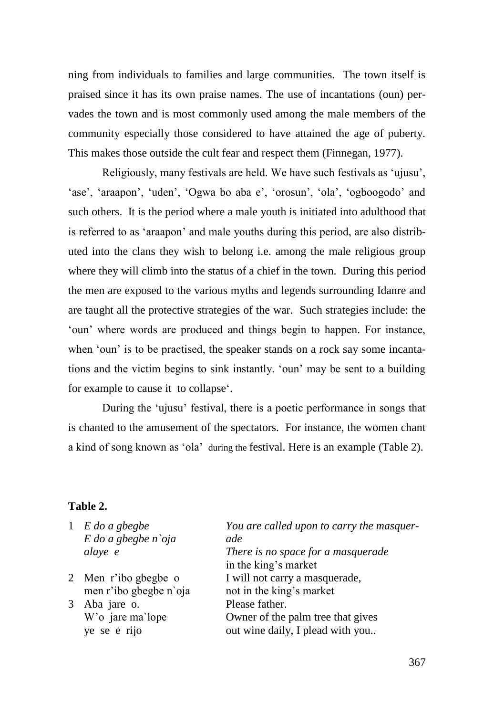ning from individuals to families and large communities. The town itself is praised since it has its own praise names. The use of incantations (oun) pervades the town and is most commonly used among the male members of the community especially those considered to have attained the age of puberty. This makes those outside the cult fear and respect them (Finnegan, 1977).

Religiously, many festivals are held. We have such festivals as 'ujusu', 'ase', 'araapon', 'uden', 'Ogwa bo aba e', 'orosun', 'ola', 'ogboogodo' and such others. It is the period where a male youth is initiated into adulthood that is referred to as 'araapon' and male youths during this period, are also distributed into the clans they wish to belong i.e. among the male religious group where they will climb into the status of a chief in the town. During this period the men are exposed to the various myths and legends surrounding Idanre and are taught all the protective strategies of the war. Such strategies include: the 'oun' where words are produced and things begin to happen. For instance, when 'oun' is to be practised, the speaker stands on a rock say some incantations and the victim begins to sink instantly. 'oun' may be sent to a building for example to cause it to collapse'.

During the 'ujusu' festival, there is a poetic performance in songs that is chanted to the amusement of the spectators. For instance, the women chant a kind of song known as 'ola' during the festival. Here is an example (Table 2).

## **Table 2.**

- 1 *E do a gbegbe E do a gbegbe n`oja alaye e*
- 2 Men r'ibo gbegbe o men r'ibo gbegbe n`oja
- 3 Aba jare o. W'o jare ma`lope ye se e rijo

*You are called upon to carry the masquerade There is no space for a masquerade* in the king's market I will not carry a masquerade, not in the king's market Please father. Owner of the palm tree that gives out wine daily, I plead with you..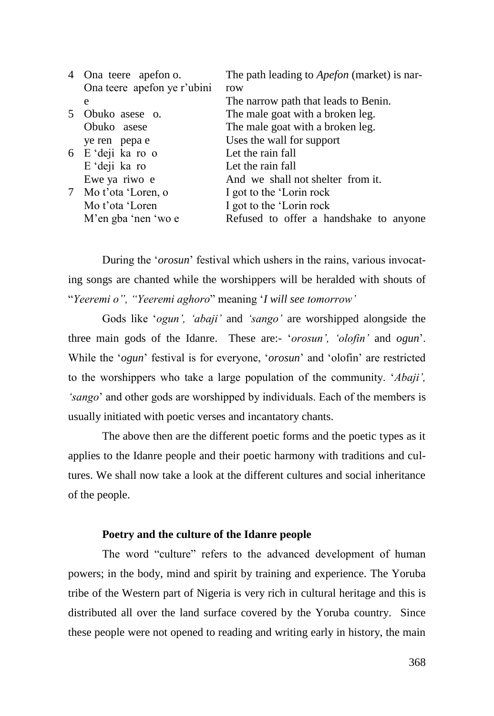| 4 Ona teere apefon o.       | The path leading to <i>Apefon</i> (market) is nar- |
|-----------------------------|----------------------------------------------------|
| Ona teere apefon ye r'ubini | row                                                |
| e                           | The narrow path that leads to Benin.               |
| 5 Obuko asese o.            | The male goat with a broken leg.                   |
| Obuko asese                 | The male goat with a broken leg.                   |
| ye ren pepa e               | Uses the wall for support                          |
| 6 E 'deji ka ro o           | Let the rain fall                                  |
| E 'deji ka ro               | Let the rain fall                                  |
| Ewe ya riwo e               | And we shall not shelter from it.                  |
| 7 Mo t'ota 'Loren, o        | I got to the 'Lorin rock                           |
| Mo t'ota 'Loren             | I got to the 'Lorin rock                           |
| M'en gba 'nen 'wo e         | Refused to offer a handshake to anyone             |
|                             |                                                    |

During the '*orosun*' festival which ushers in the rains, various invocating songs are chanted while the worshippers will be heralded with shouts of "*Yeeremi o", "Yeeremi aghoro*" meaning '*I will see tomorrow'*

Gods like '*ogun', 'abaji'* and *'sango'* are worshipped alongside the three main gods of the Idanre. These are:- '*orosun', 'olofin'* and *ogun*'. While the '*ogun*' festival is for everyone, '*orosun*' and 'olofin' are restricted to the worshippers who take a large population of the community. '*Abaji', 'sango*' and other gods are worshipped by individuals. Each of the members is usually initiated with poetic verses and incantatory chants.

The above then are the different poetic forms and the poetic types as it applies to the Idanre people and their poetic harmony with traditions and cultures. We shall now take a look at the different cultures and social inheritance of the people.

## **Poetry and the culture of the Idanre people**

The word "culture" refers to the advanced development of human powers; in the body, mind and spirit by training and experience. The Yoruba tribe of the Western part of Nigeria is very rich in cultural heritage and this is distributed all over the land surface covered by the Yoruba country. Since these people were not opened to reading and writing early in history, the main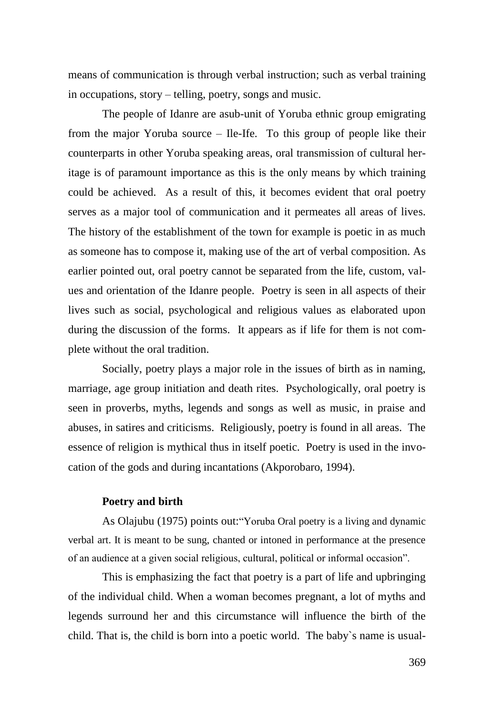means of communication is through verbal instruction; such as verbal training in occupations, story – telling, poetry, songs and music.

The people of Idanre are asub-unit of Yoruba ethnic group emigrating from the major Yoruba source – Ile-Ife. To this group of people like their counterparts in other Yoruba speaking areas, oral transmission of cultural heritage is of paramount importance as this is the only means by which training could be achieved. As a result of this, it becomes evident that oral poetry serves as a major tool of communication and it permeates all areas of lives. The history of the establishment of the town for example is poetic in as much as someone has to compose it, making use of the art of verbal composition. As earlier pointed out, oral poetry cannot be separated from the life, custom, values and orientation of the Idanre people. Poetry is seen in all aspects of their lives such as social, psychological and religious values as elaborated upon during the discussion of the forms. It appears as if life for them is not complete without the oral tradition.

Socially, poetry plays a major role in the issues of birth as in naming, marriage, age group initiation and death rites. Psychologically, oral poetry is seen in proverbs, myths, legends and songs as well as music, in praise and abuses, in satires and criticisms. Religiously, poetry is found in all areas. The essence of religion is mythical thus in itself poetic. Poetry is used in the invocation of the gods and during incantations (Akporobaro, 1994).

## **Poetry and birth**

As Olajubu (1975) points out:"Yoruba Oral poetry is a living and dynamic verbal art. It is meant to be sung, chanted or intoned in performance at the presence of an audience at a given social religious, cultural, political or informal occasion".

This is emphasizing the fact that poetry is a part of life and upbringing of the individual child. When a woman becomes pregnant, a lot of myths and legends surround her and this circumstance will influence the birth of the child. That is, the child is born into a poetic world. The baby`s name is usual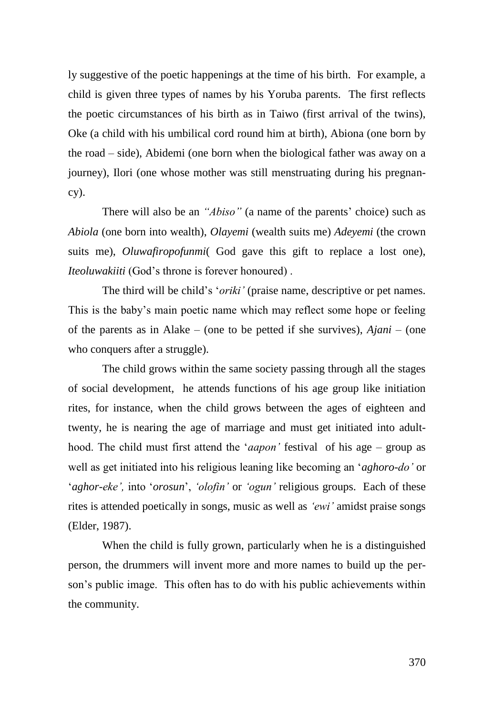ly suggestive of the poetic happenings at the time of his birth. For example, a child is given three types of names by his Yoruba parents. The first reflects the poetic circumstances of his birth as in Taiwo (first arrival of the twins), Oke (a child with his umbilical cord round him at birth), Abiona (one born by the road – side), Abidemi (one born when the biological father was away on a journey), Ilori (one whose mother was still menstruating during his pregnancy).

There will also be an *"Abiso"* (a name of the parents' choice) such as *Abiola* (one born into wealth), *Olayemi* (wealth suits me) *Adeyemi* (the crown suits me), *Oluwafiropofunmi*( God gave this gift to replace a lost one), *Iteoluwakiiti* (God's throne is forever honoured) .

The third will be child's '*oriki'* (praise name, descriptive or pet names. This is the baby's main poetic name which may reflect some hope or feeling of the parents as in Alake – (one to be petted if she survives), *Ajani* – (one who conquers after a struggle).

The child grows within the same society passing through all the stages of social development, he attends functions of his age group like initiation rites, for instance, when the child grows between the ages of eighteen and twenty, he is nearing the age of marriage and must get initiated into adulthood. The child must first attend the '*aapon'* festival of his age – group as well as get initiated into his religious leaning like becoming an '*aghoro-do'* or '*aghor-eke',* into '*orosun*', *'olofin'* or *'ogun'* religious groups. Each of these rites is attended poetically in songs, music as well as *'ewi'* amidst praise songs (Elder, 1987).

When the child is fully grown, particularly when he is a distinguished person, the drummers will invent more and more names to build up the person's public image. This often has to do with his public achievements within the community.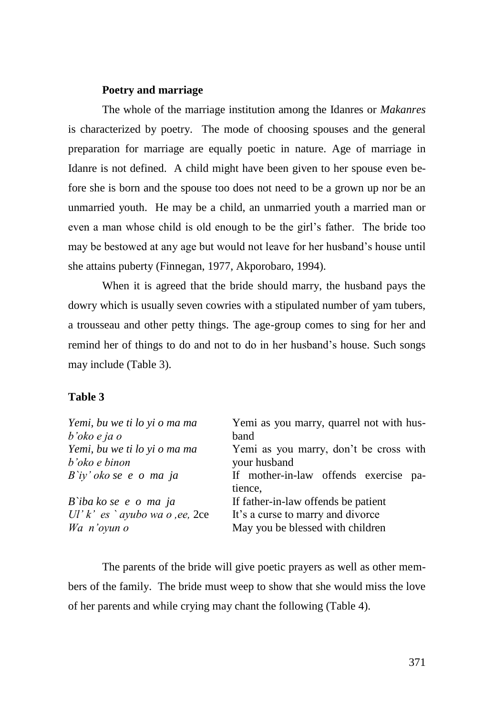## **Poetry and marriage**

The whole of the marriage institution among the Idanres or *Makanres* is characterized by poetry. The mode of choosing spouses and the general preparation for marriage are equally poetic in nature. Age of marriage in Idanre is not defined. A child might have been given to her spouse even before she is born and the spouse too does not need to be a grown up nor be an unmarried youth. He may be a child, an unmarried youth a married man or even a man whose child is old enough to be the girl's father. The bride too may be bestowed at any age but would not leave for her husband's house until she attains puberty (Finnegan, 1977, Akporobaro, 1994).

When it is agreed that the bride should marry, the husband pays the dowry which is usually seven cowries with a stipulated number of yam tubers, a trousseau and other petty things. The age-group comes to sing for her and remind her of things to do and not to do in her husband's house. Such songs may include (Table 3).

## **Table 3**

| Yemi, bu we ti lo yi o ma ma<br>$b'oko$ e ja o | Yemi as you marry, quarrel not with hus-<br>band |
|------------------------------------------------|--------------------------------------------------|
| Yemi, bu we ti lo yi o ma ma                   | Yemi as you marry, don't be cross with           |
| b'oko e binon                                  | your husband                                     |
| $B$ `iy' oko se e o ma ja                      | If mother-in-law offends exercise pa-<br>tience, |
| B`iba ko se e o ma ja                          | If father-in-law offends be patient              |
| Ul' $k'$ es `ayubo wa o ,ee, 2ce               | It's a curse to marry and divorce                |
| Wa n'oyun o                                    | May you be blessed with children                 |

The parents of the bride will give poetic prayers as well as other members of the family. The bride must weep to show that she would miss the love of her parents and while crying may chant the following (Table 4).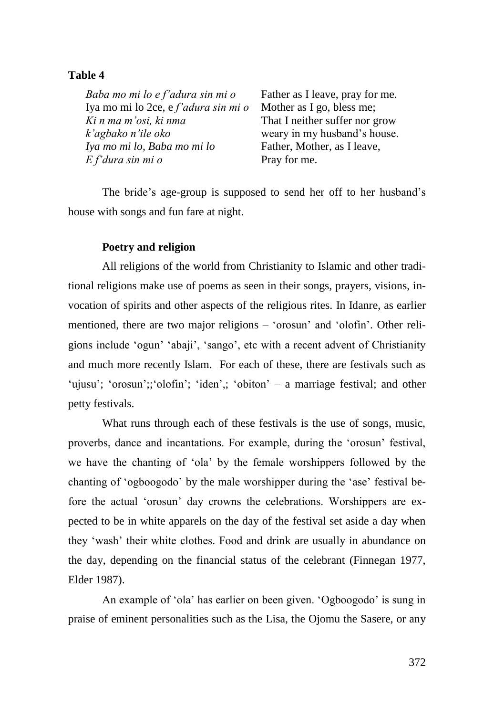## **Table 4**

*Baba mo mi lo e f'adura sin mi o* Father as I leave, pray for me. Iya mo mi lo 2ce, e *f'adura sin mi o* Mother as I go, bless me; *Ki n ma m'osi, ki nma* That I neither suffer nor grow *k'agbako n'ile oko* weary in my husband's house. *Iya mo mi lo, Baba mo mi lo* Father, Mother, as I leave, *E f'dura sin mi o* Pray for me.

The bride's age-group is supposed to send her off to her husband's house with songs and fun fare at night.

## **Poetry and religion**

All religions of the world from Christianity to Islamic and other traditional religions make use of poems as seen in their songs, prayers, visions, invocation of spirits and other aspects of the religious rites. In Idanre, as earlier mentioned, there are two major religions – 'orosun' and 'olofin'. Other religions include 'ogun' 'abaji', 'sango', etc with a recent advent of Christianity and much more recently Islam. For each of these, there are festivals such as 'ujusu'; 'orosun';; 'olofin'; 'iden',; 'obiton' – a marriage festival; and other petty festivals.

What runs through each of these festivals is the use of songs, music, proverbs, dance and incantations. For example, during the 'orosun' festival, we have the chanting of 'ola' by the female worshippers followed by the chanting of 'ogboogodo' by the male worshipper during the 'ase' festival before the actual 'orosun' day crowns the celebrations. Worshippers are expected to be in white apparels on the day of the festival set aside a day when they 'wash' their white clothes. Food and drink are usually in abundance on the day, depending on the financial status of the celebrant (Finnegan 1977, Elder 1987).

An example of 'ola' has earlier on been given. 'Ogboogodo' is sung in praise of eminent personalities such as the Lisa, the Ojomu the Sasere, or any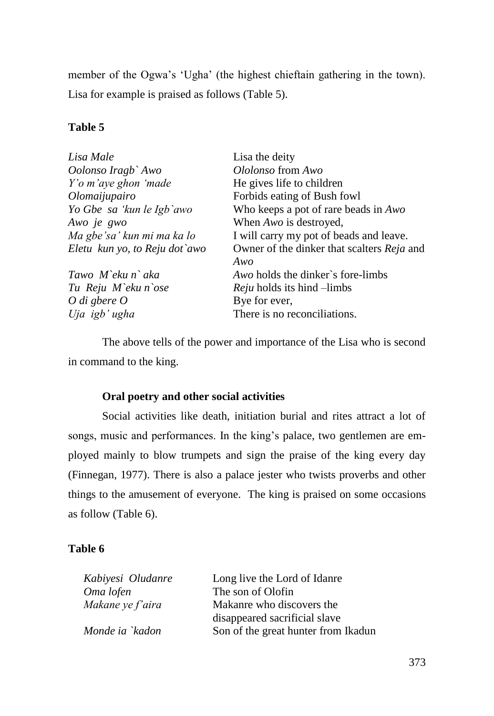member of the Ogwa's 'Ugha' (the highest chieftain gathering in the town). Lisa for example is praised as follows (Table 5).

## **Table 5**

| Lisa Male                     | Lisa the deity                                    |
|-------------------------------|---------------------------------------------------|
| Oolonso Iragb` Awo            | Ololonso from Awo                                 |
| Y'o m'aye ghon 'made          | He gives life to children                         |
| Olomaijupairo                 | Forbids eating of Bush fowl                       |
| Yo Gbe sa 'kun le Igb`awo     | Who keeps a pot of rare beads in Awo              |
| Awo je gwo                    | When Awo is destroyed,                            |
| Ma gbe'sa' kun mi ma ka lo    | I will carry my pot of beads and leave.           |
| Eletu kun yo, to Reju dot`awo | Owner of the dinker that scalters <i>Reja</i> and |
|                               | Awo                                               |
| Tawo M`eku n` aka             | <i>Awo</i> holds the dinker's fore-limbs          |
| Tu Reju M`eku n`ose           | <i>Reju</i> holds its hind –limbs                 |
| O di gbere $O$                | Bye for ever,                                     |
| Uja igb' ugha                 | There is no reconciliations.                      |

The above tells of the power and importance of the Lisa who is second in command to the king.

## **Oral poetry and other social activities**

Social activities like death, initiation burial and rites attract a lot of songs, music and performances. In the king's palace, two gentlemen are employed mainly to blow trumpets and sign the praise of the king every day (Finnegan, 1977). There is also a palace jester who twists proverbs and other things to the amusement of everyone. The king is praised on some occasions as follow (Table 6).

## **Table 6**

| Kabiyesi Oludanre | Long live the Lord of Idanre        |
|-------------------|-------------------------------------|
| Oma lofen         | The son of Olofin                   |
| Makane ye f'aira  | Makanre who discovers the           |
|                   | disappeared sacrificial slave       |
| Monde ia `kadon   | Son of the great hunter from Ikadun |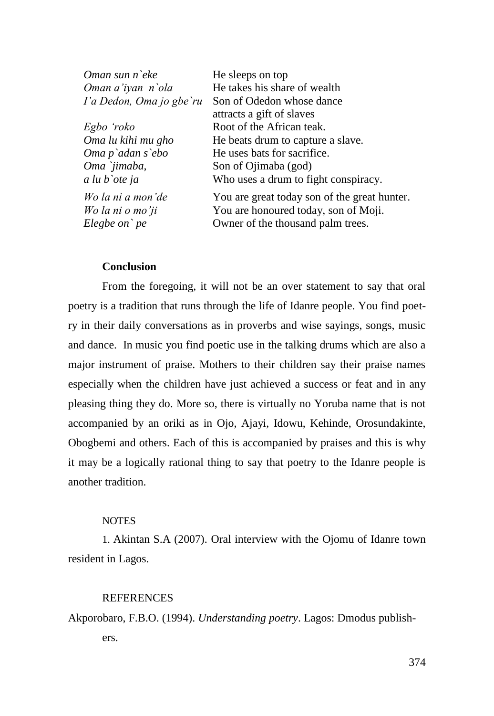| He sleeps on top                             |
|----------------------------------------------|
| He takes his share of wealth                 |
| Son of Odedon whose dance                    |
| attracts a gift of slaves                    |
| Root of the African teak.                    |
| He beats drum to capture a slave.            |
| He uses bats for sacrifice.                  |
| Son of Ojimaba (god)                         |
| Who uses a drum to fight conspiracy.         |
| You are great today son of the great hunter. |
| You are honoured today, son of Moji.         |
| Owner of the thousand palm trees.            |
|                                              |

## **Conclusion**

From the foregoing, it will not be an over statement to say that oral poetry is a tradition that runs through the life of Idanre people. You find poetry in their daily conversations as in proverbs and wise sayings, songs, music and dance. In music you find poetic use in the talking drums which are also a major instrument of praise. Mothers to their children say their praise names especially when the children have just achieved a success or feat and in any pleasing thing they do. More so, there is virtually no Yoruba name that is not accompanied by an oriki as in Ojo, Ajayi, Idowu, Kehinde, Orosundakinte, Obogbemi and others. Each of this is accompanied by praises and this is why it may be a logically rational thing to say that poetry to the Idanre people is another tradition.

## NOTES

1. Akintan S.A (2007). Oral interview with the Ojomu of Idanre town resident in Lagos.

#### REFERENCES

Akporobaro, F.B.O. (1994). *Understanding poetry*. Lagos: Dmodus publishers.